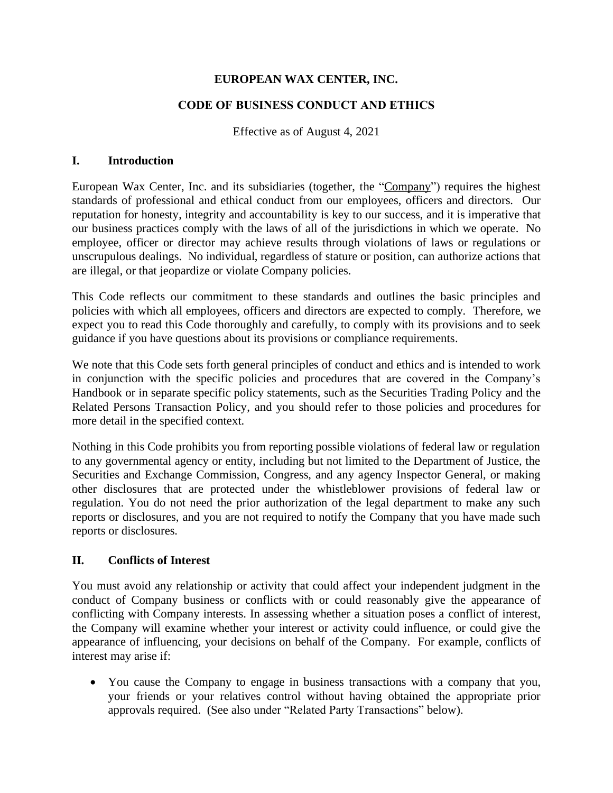### **EUROPEAN WAX CENTER, INC.**

### **CODE OF BUSINESS CONDUCT AND ETHICS**

Effective as of August 4, 2021

#### **I. Introduction**

European Wax Center, Inc. and its subsidiaries (together, the "Company") requires the highest standards of professional and ethical conduct from our employees, officers and directors. Our reputation for honesty, integrity and accountability is key to our success, and it is imperative that our business practices comply with the laws of all of the jurisdictions in which we operate. No employee, officer or director may achieve results through violations of laws or regulations or unscrupulous dealings. No individual, regardless of stature or position, can authorize actions that are illegal, or that jeopardize or violate Company policies.

This Code reflects our commitment to these standards and outlines the basic principles and policies with which all employees, officers and directors are expected to comply. Therefore, we expect you to read this Code thoroughly and carefully, to comply with its provisions and to seek guidance if you have questions about its provisions or compliance requirements.

We note that this Code sets forth general principles of conduct and ethics and is intended to work in conjunction with the specific policies and procedures that are covered in the Company's Handbook or in separate specific policy statements, such as the Securities Trading Policy and the Related Persons Transaction Policy, and you should refer to those policies and procedures for more detail in the specified context.

Nothing in this Code prohibits you from reporting possible violations of federal law or regulation to any governmental agency or entity, including but not limited to the Department of Justice, the Securities and Exchange Commission, Congress, and any agency Inspector General, or making other disclosures that are protected under the whistleblower provisions of federal law or regulation. You do not need the prior authorization of the legal department to make any such reports or disclosures, and you are not required to notify the Company that you have made such reports or disclosures.

### **II. Conflicts of Interest**

You must avoid any relationship or activity that could affect your independent judgment in the conduct of Company business or conflicts with or could reasonably give the appearance of conflicting with Company interests. In assessing whether a situation poses a conflict of interest, the Company will examine whether your interest or activity could influence, or could give the appearance of influencing, your decisions on behalf of the Company. For example, conflicts of interest may arise if:

• You cause the Company to engage in business transactions with a company that you, your friends or your relatives control without having obtained the appropriate prior approvals required. (See also under "Related Party Transactions" below).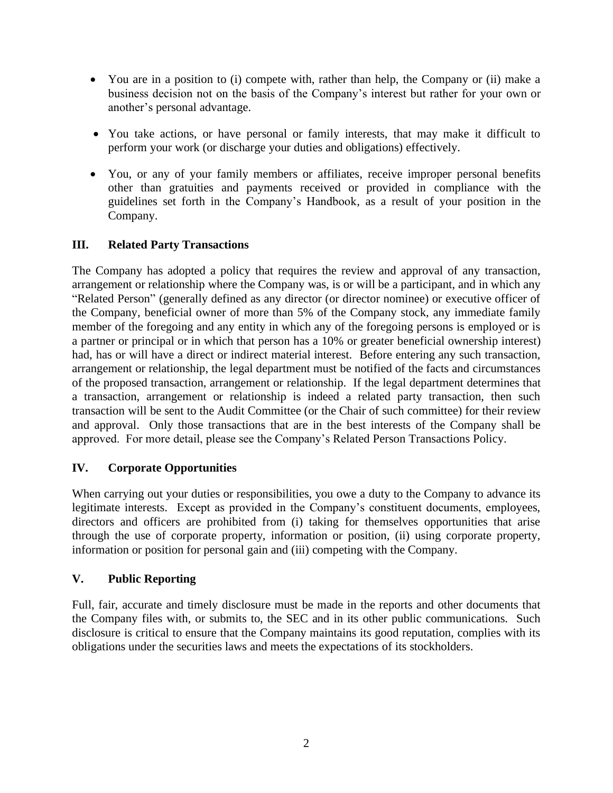- You are in a position to (i) compete with, rather than help, the Company or (ii) make a business decision not on the basis of the Company's interest but rather for your own or another's personal advantage.
- You take actions, or have personal or family interests, that may make it difficult to perform your work (or discharge your duties and obligations) effectively.
- You, or any of your family members or affiliates, receive improper personal benefits other than gratuities and payments received or provided in compliance with the guidelines set forth in the Company's Handbook, as a result of your position in the Company.

## **III. Related Party Transactions**

The Company has adopted a policy that requires the review and approval of any transaction, arrangement or relationship where the Company was, is or will be a participant, and in which any "Related Person" (generally defined as any director (or director nominee) or executive officer of the Company, beneficial owner of more than 5% of the Company stock, any immediate family member of the foregoing and any entity in which any of the foregoing persons is employed or is a partner or principal or in which that person has a 10% or greater beneficial ownership interest) had, has or will have a direct or indirect material interest. Before entering any such transaction, arrangement or relationship, the legal department must be notified of the facts and circumstances of the proposed transaction, arrangement or relationship. If the legal department determines that a transaction, arrangement or relationship is indeed a related party transaction, then such transaction will be sent to the Audit Committee (or the Chair of such committee) for their review and approval. Only those transactions that are in the best interests of the Company shall be approved. For more detail, please see the Company's Related Person Transactions Policy.

### **IV. Corporate Opportunities**

When carrying out your duties or responsibilities, you owe a duty to the Company to advance its legitimate interests. Except as provided in the Company's constituent documents, employees, directors and officers are prohibited from (i) taking for themselves opportunities that arise through the use of corporate property, information or position, (ii) using corporate property, information or position for personal gain and (iii) competing with the Company.

### **V. Public Reporting**

Full, fair, accurate and timely disclosure must be made in the reports and other documents that the Company files with, or submits to, the SEC and in its other public communications. Such disclosure is critical to ensure that the Company maintains its good reputation, complies with its obligations under the securities laws and meets the expectations of its stockholders.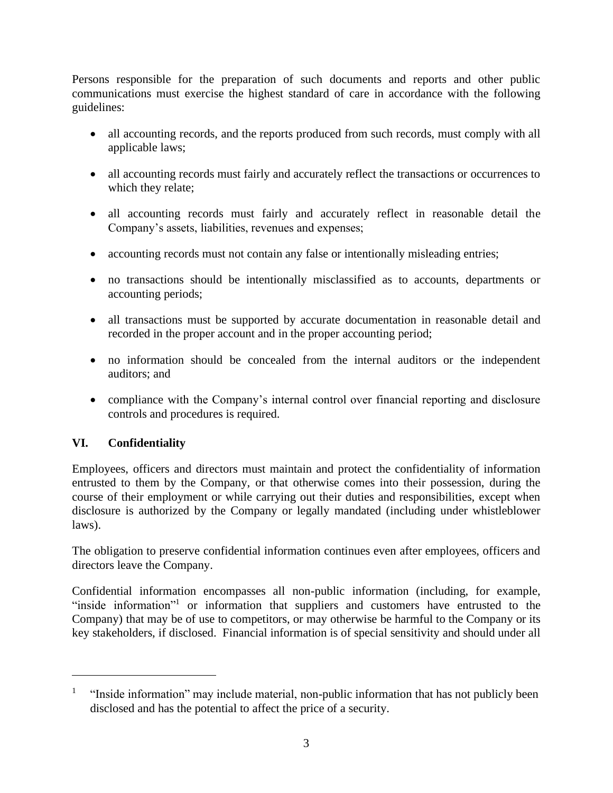Persons responsible for the preparation of such documents and reports and other public communications must exercise the highest standard of care in accordance with the following guidelines:

- all accounting records, and the reports produced from such records, must comply with all applicable laws;
- all accounting records must fairly and accurately reflect the transactions or occurrences to which they relate;
- all accounting records must fairly and accurately reflect in reasonable detail the Company's assets, liabilities, revenues and expenses;
- accounting records must not contain any false or intentionally misleading entries;
- no transactions should be intentionally misclassified as to accounts, departments or accounting periods;
- all transactions must be supported by accurate documentation in reasonable detail and recorded in the proper account and in the proper accounting period;
- no information should be concealed from the internal auditors or the independent auditors; and
- compliance with the Company's internal control over financial reporting and disclosure controls and procedures is required.

# **VI. Confidentiality**

Employees, officers and directors must maintain and protect the confidentiality of information entrusted to them by the Company, or that otherwise comes into their possession, during the course of their employment or while carrying out their duties and responsibilities, except when disclosure is authorized by the Company or legally mandated (including under whistleblower laws).

The obligation to preserve confidential information continues even after employees, officers and directors leave the Company.

Confidential information encompasses all non-public information (including, for example, "inside information"<sup>1</sup> or information that suppliers and customers have entrusted to the Company) that may be of use to competitors, or may otherwise be harmful to the Company or its key stakeholders, if disclosed. Financial information is of special sensitivity and should under all

<sup>1</sup> "Inside information" may include material, non-public information that has not publicly been disclosed and has the potential to affect the price of a security.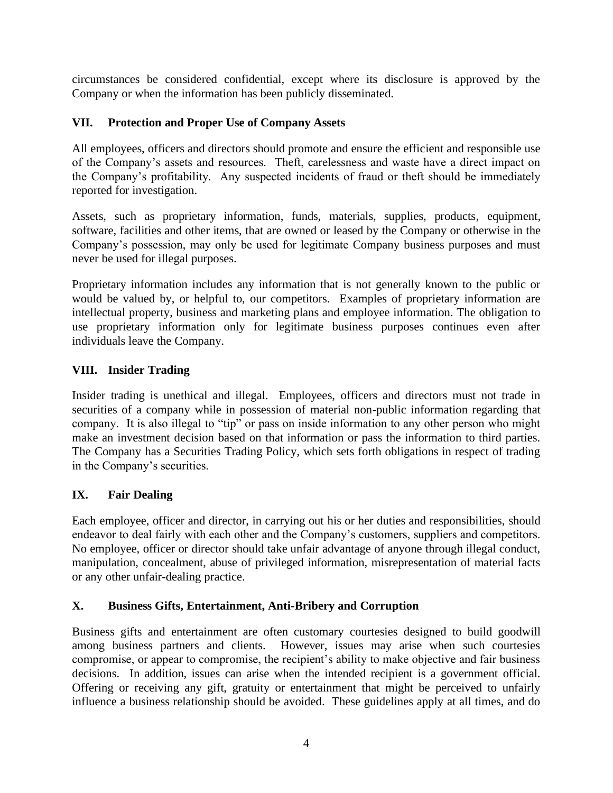circumstances be considered confidential, except where its disclosure is approved by the Company or when the information has been publicly disseminated.

## **VII. Protection and Proper Use of Company Assets**

All employees, officers and directors should promote and ensure the efficient and responsible use of the Company's assets and resources. Theft, carelessness and waste have a direct impact on the Company's profitability. Any suspected incidents of fraud or theft should be immediately reported for investigation.

Assets, such as proprietary information, funds, materials, supplies, products, equipment, software, facilities and other items, that are owned or leased by the Company or otherwise in the Company's possession, may only be used for legitimate Company business purposes and must never be used for illegal purposes.

Proprietary information includes any information that is not generally known to the public or would be valued by, or helpful to, our competitors. Examples of proprietary information are intellectual property, business and marketing plans and employee information. The obligation to use proprietary information only for legitimate business purposes continues even after individuals leave the Company.

# **VIII. Insider Trading**

Insider trading is unethical and illegal. Employees, officers and directors must not trade in securities of a company while in possession of material non-public information regarding that company. It is also illegal to "tip" or pass on inside information to any other person who might make an investment decision based on that information or pass the information to third parties. The Company has a Securities Trading Policy, which sets forth obligations in respect of trading in the Company's securities.

# **IX. Fair Dealing**

Each employee, officer and director, in carrying out his or her duties and responsibilities, should endeavor to deal fairly with each other and the Company's customers, suppliers and competitors. No employee, officer or director should take unfair advantage of anyone through illegal conduct, manipulation, concealment, abuse of privileged information, misrepresentation of material facts or any other unfair-dealing practice.

# **X. Business Gifts, Entertainment, Anti-Bribery and Corruption**

Business gifts and entertainment are often customary courtesies designed to build goodwill among business partners and clients. However, issues may arise when such courtesies compromise, or appear to compromise, the recipient's ability to make objective and fair business decisions. In addition, issues can arise when the intended recipient is a government official. Offering or receiving any gift, gratuity or entertainment that might be perceived to unfairly influence a business relationship should be avoided. These guidelines apply at all times, and do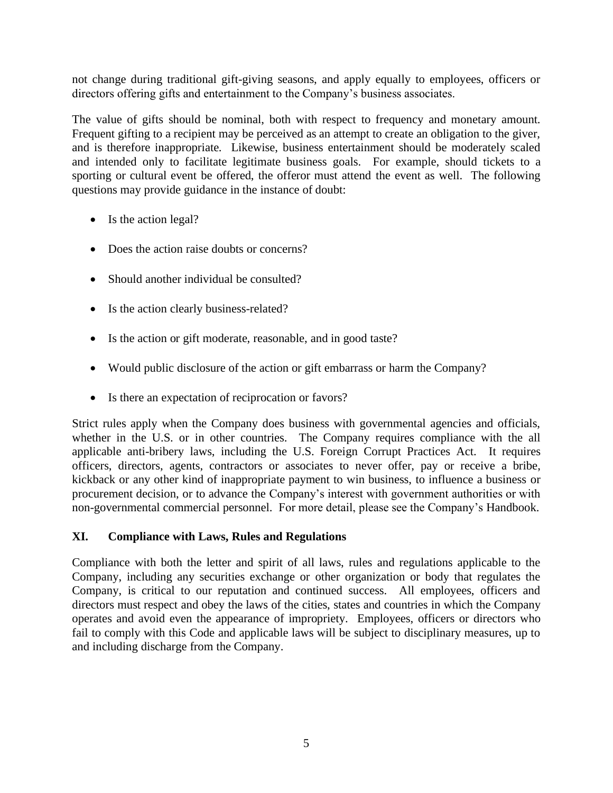not change during traditional gift-giving seasons, and apply equally to employees, officers or directors offering gifts and entertainment to the Company's business associates.

The value of gifts should be nominal, both with respect to frequency and monetary amount. Frequent gifting to a recipient may be perceived as an attempt to create an obligation to the giver, and is therefore inappropriate. Likewise, business entertainment should be moderately scaled and intended only to facilitate legitimate business goals. For example, should tickets to a sporting or cultural event be offered, the offeror must attend the event as well. The following questions may provide guidance in the instance of doubt:

- Is the action legal?
- Does the action raise doubts or concerns?
- Should another individual be consulted?
- Is the action clearly business-related?
- Is the action or gift moderate, reasonable, and in good taste?
- Would public disclosure of the action or gift embarrass or harm the Company?
- Is there an expectation of reciprocation or favors?

Strict rules apply when the Company does business with governmental agencies and officials, whether in the U.S. or in other countries. The Company requires compliance with the all applicable anti-bribery laws, including the U.S. Foreign Corrupt Practices Act. It requires officers, directors, agents, contractors or associates to never offer, pay or receive a bribe, kickback or any other kind of inappropriate payment to win business, to influence a business or procurement decision, or to advance the Company's interest with government authorities or with non-governmental commercial personnel. For more detail, please see the Company's Handbook.

### **XI. Compliance with Laws, Rules and Regulations**

Compliance with both the letter and spirit of all laws, rules and regulations applicable to the Company, including any securities exchange or other organization or body that regulates the Company, is critical to our reputation and continued success. All employees, officers and directors must respect and obey the laws of the cities, states and countries in which the Company operates and avoid even the appearance of impropriety. Employees, officers or directors who fail to comply with this Code and applicable laws will be subject to disciplinary measures, up to and including discharge from the Company.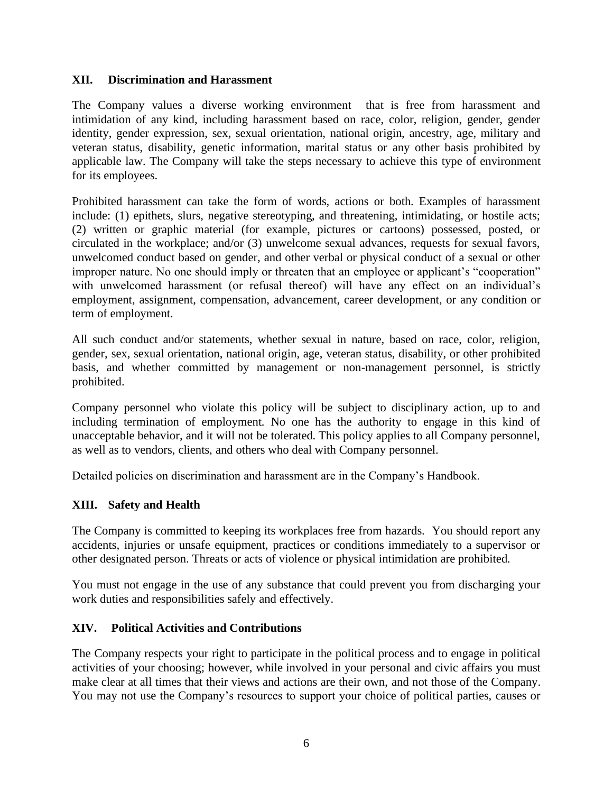#### **XII. Discrimination and Harassment**

The Company values a diverse working environment that is free from harassment and intimidation of any kind, including harassment based on race, color, religion, gender, gender identity, gender expression, sex, sexual orientation, national origin, ancestry, age, military and veteran status, disability, genetic information, marital status or any other basis prohibited by applicable law. The Company will take the steps necessary to achieve this type of environment for its employees.

Prohibited harassment can take the form of words, actions or both. Examples of harassment include: (1) epithets, slurs, negative stereotyping, and threatening, intimidating, or hostile acts; (2) written or graphic material (for example, pictures or cartoons) possessed, posted, or circulated in the workplace; and/or (3) unwelcome sexual advances, requests for sexual favors, unwelcomed conduct based on gender, and other verbal or physical conduct of a sexual or other improper nature. No one should imply or threaten that an employee or applicant's "cooperation" with unwelcomed harassment (or refusal thereof) will have any effect on an individual's employment, assignment, compensation, advancement, career development, or any condition or term of employment.

All such conduct and/or statements, whether sexual in nature, based on race, color, religion, gender, sex, sexual orientation, national origin, age, veteran status, disability, or other prohibited basis, and whether committed by management or non-management personnel, is strictly prohibited.

Company personnel who violate this policy will be subject to disciplinary action, up to and including termination of employment. No one has the authority to engage in this kind of unacceptable behavior, and it will not be tolerated. This policy applies to all Company personnel, as well as to vendors, clients, and others who deal with Company personnel.

Detailed policies on discrimination and harassment are in the Company's Handbook.

### **XIII. Safety and Health**

The Company is committed to keeping its workplaces free from hazards. You should report any accidents, injuries or unsafe equipment, practices or conditions immediately to a supervisor or other designated person. Threats or acts of violence or physical intimidation are prohibited.

You must not engage in the use of any substance that could prevent you from discharging your work duties and responsibilities safely and effectively.

#### **XIV. Political Activities and Contributions**

The Company respects your right to participate in the political process and to engage in political activities of your choosing; however, while involved in your personal and civic affairs you must make clear at all times that their views and actions are their own, and not those of the Company. You may not use the Company's resources to support your choice of political parties, causes or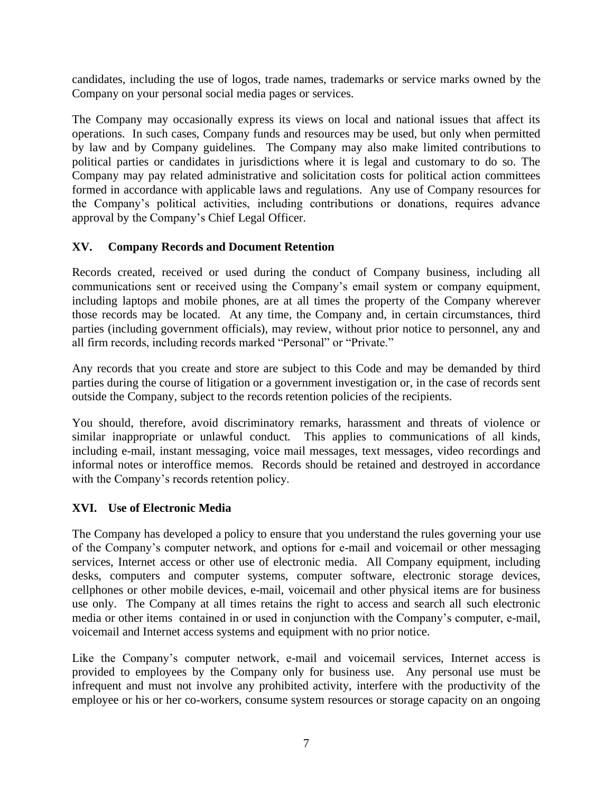candidates, including the use of logos, trade names, trademarks or service marks owned by the Company on your personal social media pages or services.

The Company may occasionally express its views on local and national issues that affect its operations. In such cases, Company funds and resources may be used, but only when permitted by law and by Company guidelines. The Company may also make limited contributions to political parties or candidates in jurisdictions where it is legal and customary to do so. The Company may pay related administrative and solicitation costs for political action committees formed in accordance with applicable laws and regulations. Any use of Company resources for the Company's political activities, including contributions or donations, requires advance approval by the Company's Chief Legal Officer.

### **XV. Company Records and Document Retention**

Records created, received or used during the conduct of Company business, including all communications sent or received using the Company's email system or company equipment, including laptops and mobile phones, are at all times the property of the Company wherever those records may be located. At any time, the Company and, in certain circumstances, third parties (including government officials), may review, without prior notice to personnel, any and all firm records, including records marked "Personal" or "Private."

Any records that you create and store are subject to this Code and may be demanded by third parties during the course of litigation or a government investigation or, in the case of records sent outside the Company, subject to the records retention policies of the recipients.

You should, therefore, avoid discriminatory remarks, harassment and threats of violence or similar inappropriate or unlawful conduct. This applies to communications of all kinds, including e-mail, instant messaging, voice mail messages, text messages, video recordings and informal notes or interoffice memos. Records should be retained and destroyed in accordance with the Company's records retention policy.

#### **XVI. Use of Electronic Media**

The Company has developed a policy to ensure that you understand the rules governing your use of the Company's computer network, and options for e-mail and voicemail or other messaging services, Internet access or other use of electronic media. All Company equipment, including desks, computers and computer systems, computer software, electronic storage devices, cellphones or other mobile devices, e-mail, voicemail and other physical items are for business use only. The Company at all times retains the right to access and search all such electronic media or other items contained in or used in conjunction with the Company's computer, e-mail, voicemail and Internet access systems and equipment with no prior notice.

Like the Company's computer network, e-mail and voicemail services, Internet access is provided to employees by the Company only for business use. Any personal use must be infrequent and must not involve any prohibited activity, interfere with the productivity of the employee or his or her co-workers, consume system resources or storage capacity on an ongoing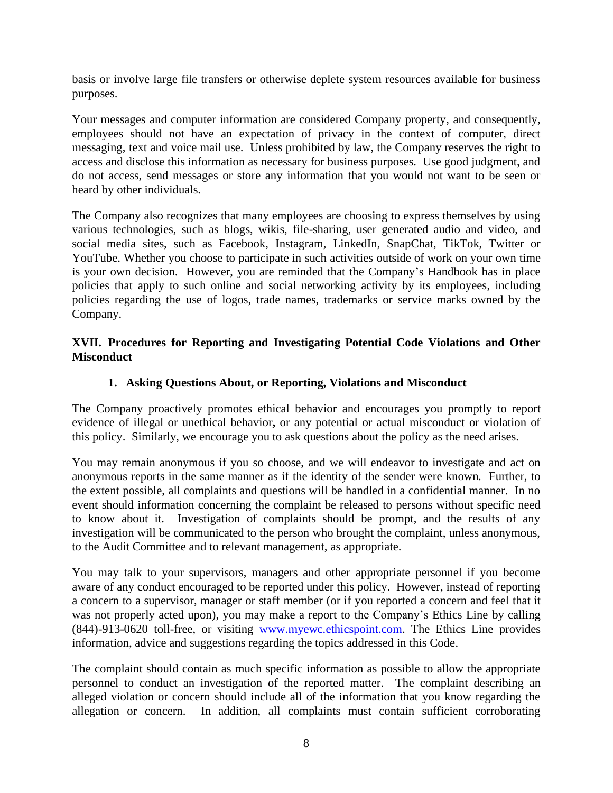basis or involve large file transfers or otherwise deplete system resources available for business purposes.

Your messages and computer information are considered Company property, and consequently, employees should not have an expectation of privacy in the context of computer, direct messaging, text and voice mail use. Unless prohibited by law, the Company reserves the right to access and disclose this information as necessary for business purposes. Use good judgment, and do not access, send messages or store any information that you would not want to be seen or heard by other individuals.

The Company also recognizes that many employees are choosing to express themselves by using various technologies, such as blogs, wikis, file-sharing, user generated audio and video, and social media sites, such as Facebook, Instagram, LinkedIn, SnapChat, TikTok, Twitter or YouTube. Whether you choose to participate in such activities outside of work on your own time is your own decision. However, you are reminded that the Company's Handbook has in place policies that apply to such online and social networking activity by its employees, including policies regarding the use of logos, trade names, trademarks or service marks owned by the Company.

### **XVII. Procedures for Reporting and Investigating Potential Code Violations and Other Misconduct**

### **1. Asking Questions About, or Reporting, Violations and Misconduct**

The Company proactively promotes ethical behavior and encourages you promptly to report evidence of illegal or unethical behavior**,** or any potential or actual misconduct or violation of this policy. Similarly, we encourage you to ask questions about the policy as the need arises.

You may remain anonymous if you so choose, and we will endeavor to investigate and act on anonymous reports in the same manner as if the identity of the sender were known. Further, to the extent possible, all complaints and questions will be handled in a confidential manner. In no event should information concerning the complaint be released to persons without specific need to know about it. Investigation of complaints should be prompt, and the results of any investigation will be communicated to the person who brought the complaint, unless anonymous, to the Audit Committee and to relevant management, as appropriate.

You may talk to your supervisors, managers and other appropriate personnel if you become aware of any conduct encouraged to be reported under this policy. However, instead of reporting a concern to a supervisor, manager or staff member (or if you reported a concern and feel that it was not properly acted upon), you may make a report to the Company's Ethics Line by calling (844)-913-0620 toll-free, or visiting [www.myewc.ethicspoint.com.](http://www.myewc.ethicspoint.com/) The Ethics Line provides information, advice and suggestions regarding the topics addressed in this Code.

The complaint should contain as much specific information as possible to allow the appropriate personnel to conduct an investigation of the reported matter. The complaint describing an alleged violation or concern should include all of the information that you know regarding the allegation or concern. In addition, all complaints must contain sufficient corroborating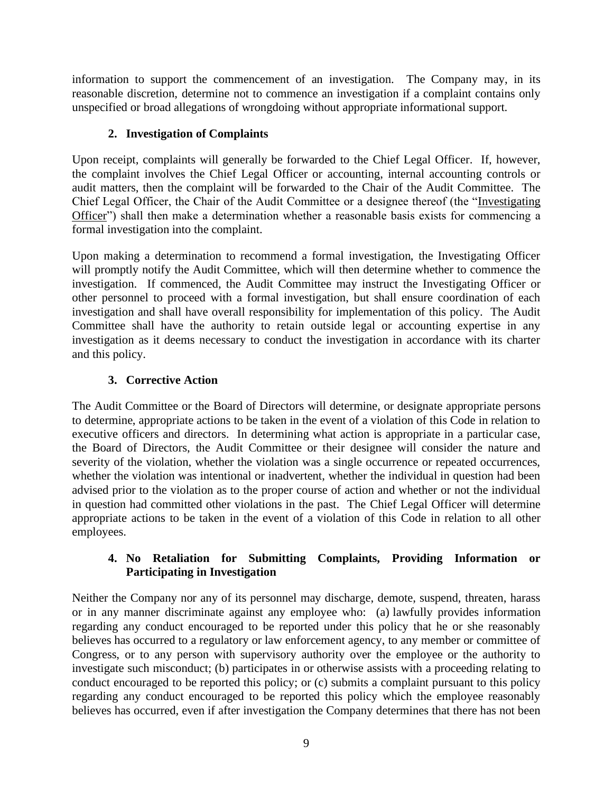information to support the commencement of an investigation. The Company may, in its reasonable discretion, determine not to commence an investigation if a complaint contains only unspecified or broad allegations of wrongdoing without appropriate informational support.

## **2. Investigation of Complaints**

Upon receipt, complaints will generally be forwarded to the Chief Legal Officer. If, however, the complaint involves the Chief Legal Officer or accounting, internal accounting controls or audit matters, then the complaint will be forwarded to the Chair of the Audit Committee. The Chief Legal Officer, the Chair of the Audit Committee or a designee thereof (the "Investigating Officer") shall then make a determination whether a reasonable basis exists for commencing a formal investigation into the complaint.

Upon making a determination to recommend a formal investigation, the Investigating Officer will promptly notify the Audit Committee, which will then determine whether to commence the investigation. If commenced, the Audit Committee may instruct the Investigating Officer or other personnel to proceed with a formal investigation, but shall ensure coordination of each investigation and shall have overall responsibility for implementation of this policy. The Audit Committee shall have the authority to retain outside legal or accounting expertise in any investigation as it deems necessary to conduct the investigation in accordance with its charter and this policy.

# **3. Corrective Action**

The Audit Committee or the Board of Directors will determine, or designate appropriate persons to determine, appropriate actions to be taken in the event of a violation of this Code in relation to executive officers and directors. In determining what action is appropriate in a particular case, the Board of Directors, the Audit Committee or their designee will consider the nature and severity of the violation, whether the violation was a single occurrence or repeated occurrences, whether the violation was intentional or inadvertent, whether the individual in question had been advised prior to the violation as to the proper course of action and whether or not the individual in question had committed other violations in the past. The Chief Legal Officer will determine appropriate actions to be taken in the event of a violation of this Code in relation to all other employees.

### **4. No Retaliation for Submitting Complaints, Providing Information or Participating in Investigation**

Neither the Company nor any of its personnel may discharge, demote, suspend, threaten, harass or in any manner discriminate against any employee who: (a) lawfully provides information regarding any conduct encouraged to be reported under this policy that he or she reasonably believes has occurred to a regulatory or law enforcement agency, to any member or committee of Congress, or to any person with supervisory authority over the employee or the authority to investigate such misconduct; (b) participates in or otherwise assists with a proceeding relating to conduct encouraged to be reported this policy; or (c) submits a complaint pursuant to this policy regarding any conduct encouraged to be reported this policy which the employee reasonably believes has occurred, even if after investigation the Company determines that there has not been